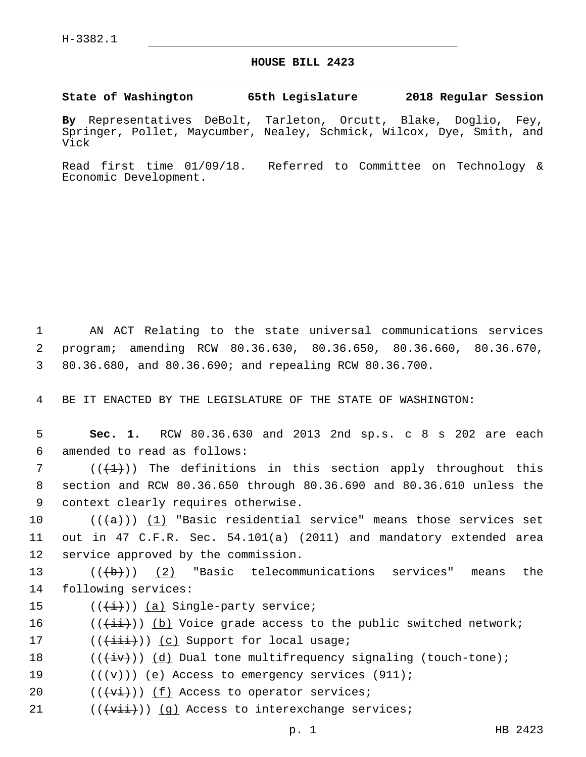## **HOUSE BILL 2423**

**State of Washington 65th Legislature 2018 Regular Session**

**By** Representatives DeBolt, Tarleton, Orcutt, Blake, Doglio, Fey, Springer, Pollet, Maycumber, Nealey, Schmick, Wilcox, Dye, Smith, and Vick

Read first time 01/09/18. Referred to Committee on Technology & Economic Development.

1 AN ACT Relating to the state universal communications services 2 program; amending RCW 80.36.630, 80.36.650, 80.36.660, 80.36.670, 3 80.36.680, and 80.36.690; and repealing RCW 80.36.700.

4 BE IT ENACTED BY THE LEGISLATURE OF THE STATE OF WASHINGTON:

5 **Sec. 1.** RCW 80.36.630 and 2013 2nd sp.s. c 8 s 202 are each amended to read as follows:6

7 ( $(\overline{+1})$ ) The definitions in this section apply throughout this 8 section and RCW 80.36.650 through 80.36.690 and 80.36.610 unless the 9 context clearly requires otherwise.

10  $((+a))$   $(1)$  "Basic residential service" means those services set 11 out in 47 C.F.R. Sec. 54.101(a) (2011) and mandatory extended area 12 service approved by the commission.

13  $((+b))$  (2) "Basic telecommunications services" means the 14 following services:

15  $((\overrightarrow{i}))$   $(a)$  Single-party service;

16  $((\overrightarrow{4i}))$  (b) Voice grade access to the public switched network;

17 (( $(i+1i)$ ) (c) Support for local usage;

18  $((\overline{+iv}))(d)$  Dual tone multifrequency signaling (touch-tone);

19  $((\{v\}) \leq e)$  Access to emergency services (911);

20  $((\overline{\mathsf{v}\mathsf{u}\mathsf{u}}))$  (f) Access to operator services;

21  $((\overrightarrow{v\texttt{iii}}))$  (g) Access to interexchange services;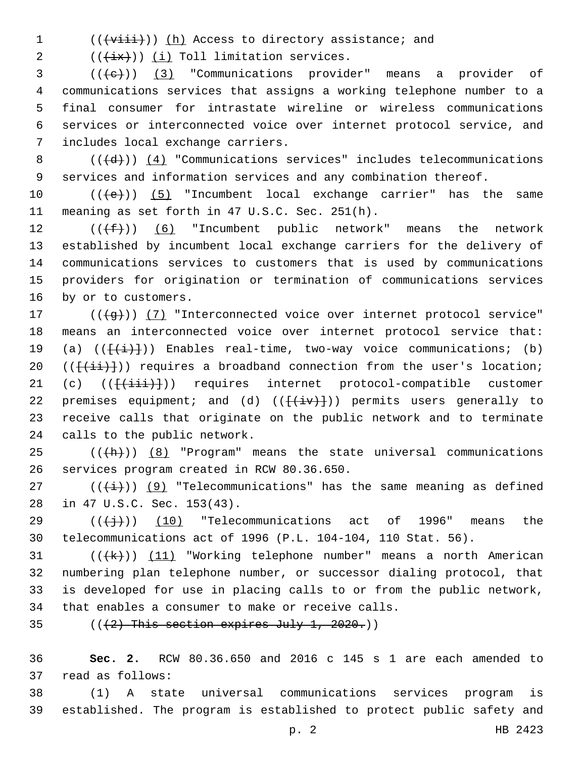1 (((+viii))) (h) Access to directory assistance; and

2  $((\overleftrightarrow{ix}))$   $(i)$  Toll limitation services.

 ( $(\text{+e})$ ) (3) "Communications provider" means a provider of communications services that assigns a working telephone number to a final consumer for intrastate wireline or wireless communications services or interconnected voice over internet protocol service, and 7 includes local exchange carriers.

8  $((+d))$   $(4)$  "Communications services" includes telecommunications 9 services and information services and any combination thereof.

10  $((+e))$   $(5)$  "Incumbent local exchange carrier" has the same 11 meaning as set forth in 47 U.S.C. Sec. 251(h).

 $((\text{+f-}))(6)$  "Incumbent public network" means the network established by incumbent local exchange carriers for the delivery of communications services to customers that is used by communications providers for origination or termination of communications services 16 by or to customers.

17 (((g)) (7) "Interconnected voice over internet protocol service" 18 means an interconnected voice over internet protocol service that: 19 (a)  $((\{\overrightarrow{+i}\})$ ) Enables real-time, two-way voice communications; (b) 20  $((\{\overrightarrow{\{\pm1}}\})$  requires a broadband connection from the user's location; 21 (c) (( $\{\frac{1}{i}$ ii)) requires internet protocol-compatible customer 22 premises equipment; and (d)  $((\{\text{div}\})$ ) permits users generally to 23 receive calls that originate on the public network and to terminate 24 calls to the public network.

 $25$  (( $\frac{h}{h}$ )) (8) "Program" means the state universal communications 26 services program created in RCW 80.36.650.

27 ( $(\frac{1}{i})$ ) (9) "Telecommunications" has the same meaning as defined 28 in 47 U.S.C. Sec. 153(43).

29  $((\{\dagger\})$  (10) "Telecommunications act of 1996" means the 30 telecommunications act of 1996 (P.L. 104-104, 110 Stat. 56).

 $((\{k\})$  (11) "Working telephone number" means a north American numbering plan telephone number, or successor dialing protocol, that is developed for use in placing calls to or from the public network, 34 that enables a consumer to make or receive calls.

35  $((2)$  This section expires July 1, 2020.)

36 **Sec. 2.** RCW 80.36.650 and 2016 c 145 s 1 are each amended to read as follows:37

38 (1) A state universal communications services program is 39 established. The program is established to protect public safety and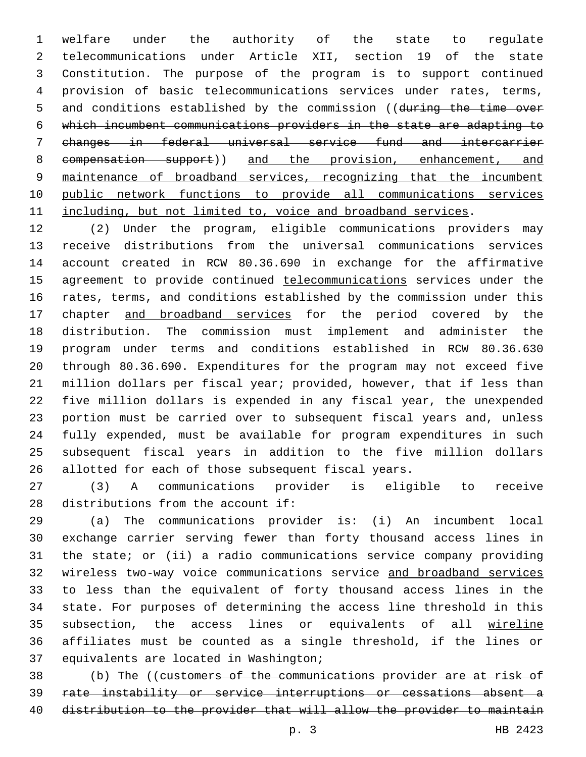welfare under the authority of the state to regulate telecommunications under Article XII, section 19 of the state Constitution. The purpose of the program is to support continued provision of basic telecommunications services under rates, terms, 5 and conditions established by the commission ((during the time over which incumbent communications providers in the state are adapting to changes in federal universal service fund and intercarrier compensation support)) and the provision, enhancement, and maintenance of broadband services, recognizing that the incumbent public network functions to provide all communications services 11 including, but not limited to, voice and broadband services.

 (2) Under the program, eligible communications providers may receive distributions from the universal communications services account created in RCW 80.36.690 in exchange for the affirmative 15 agreement to provide continued telecommunications services under the rates, terms, and conditions established by the commission under this 17 chapter and broadband services for the period covered by the distribution. The commission must implement and administer the program under terms and conditions established in RCW 80.36.630 through 80.36.690. Expenditures for the program may not exceed five million dollars per fiscal year; provided, however, that if less than five million dollars is expended in any fiscal year, the unexpended portion must be carried over to subsequent fiscal years and, unless fully expended, must be available for program expenditures in such subsequent fiscal years in addition to the five million dollars allotted for each of those subsequent fiscal years.

 (3) A communications provider is eligible to receive distributions from the account if:

 (a) The communications provider is: (i) An incumbent local exchange carrier serving fewer than forty thousand access lines in the state; or (ii) a radio communications service company providing wireless two-way voice communications service and broadband services to less than the equivalent of forty thousand access lines in the state. For purposes of determining the access line threshold in this 35 subsection, the access lines or equivalents of all wireline affiliates must be counted as a single threshold, if the lines or 37 equivalents are located in Washington;

 (b) The ((customers of the communications provider are at risk of rate instability or service interruptions or cessations absent a distribution to the provider that will allow the provider to maintain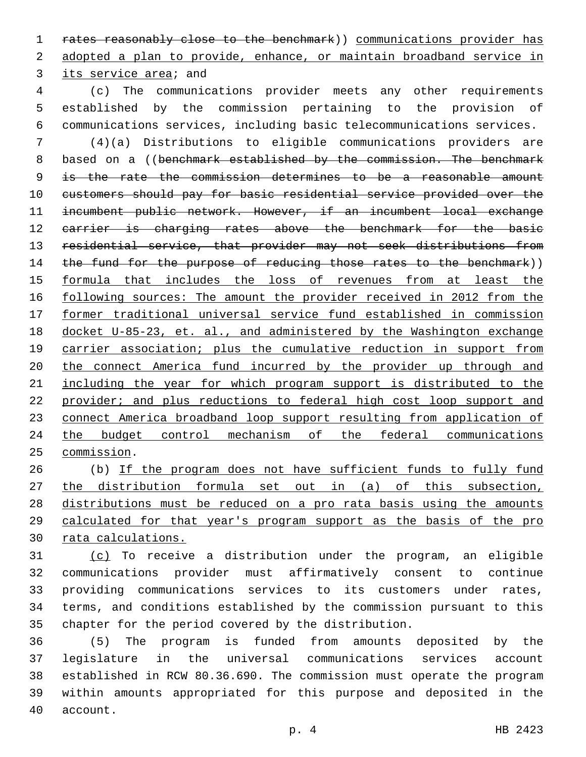rates reasonably close to the benchmark)) communications provider has adopted a plan to provide, enhance, or maintain broadband service in 3 its service area; and

 (c) The communications provider meets any other requirements established by the commission pertaining to the provision of communications services, including basic telecommunications services.

 (4)(a) Distributions to eligible communications providers are 8 based on a ((benchmark established by the commission. The benchmark is the rate the commission determines to be a reasonable amount 10 customers should pay for basic residential service provided over the incumbent public network. However, if an incumbent local exchange 12 carrier is charging rates above the benchmark for the basic residential service, that provider may not seek distributions from 14 the fund for the purpose of reducing those rates to the benchmark)) formula that includes the loss of revenues from at least the following sources: The amount the provider received in 2012 from the former traditional universal service fund established in commission docket U-85-23, et. al., and administered by the Washington exchange 19 carrier association; plus the cumulative reduction in support from the connect America fund incurred by the provider up through and 21 including the year for which program support is distributed to the provider; and plus reductions to federal high cost loop support and connect America broadband loop support resulting from application of the budget control mechanism of the federal communications 25 commission.

 (b) If the program does not have sufficient funds to fully fund 27 the distribution formula set out in (a) of this subsection, distributions must be reduced on a pro rata basis using the amounts calculated for that year's program support as the basis of the pro rata calculations.

 (c) To receive a distribution under the program, an eligible communications provider must affirmatively consent to continue providing communications services to its customers under rates, terms, and conditions established by the commission pursuant to this chapter for the period covered by the distribution.

 (5) The program is funded from amounts deposited by the legislature in the universal communications services account established in RCW 80.36.690. The commission must operate the program within amounts appropriated for this purpose and deposited in the 40 account.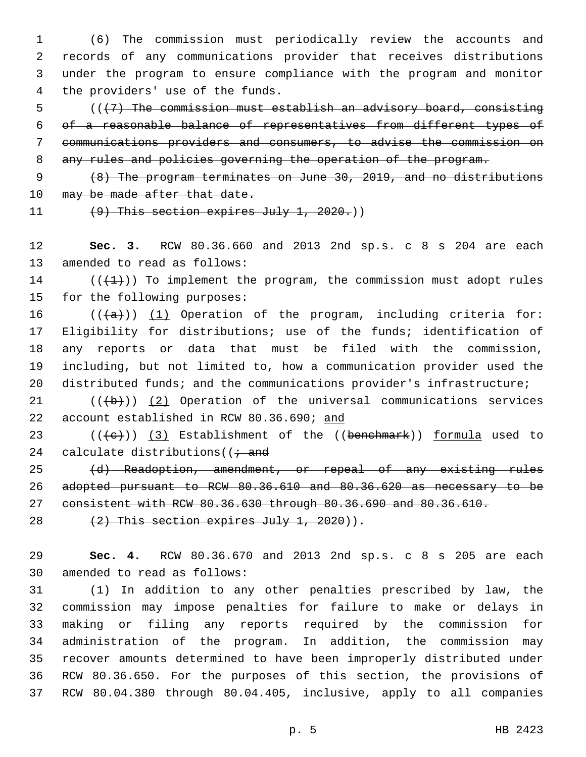(6) The commission must periodically review the accounts and records of any communications provider that receives distributions under the program to ensure compliance with the program and monitor 4 the providers' use of the funds.

 (( $\left(7\right)$  The commission must establish an advisory board, consisting of a reasonable balance of representatives from different types of communications providers and consumers, to advise the commission on 8 any rules and policies governing the operation of the program.

 (8) The program terminates on June 30, 2019, and no distributions 10 may be made after that date.

11  $(9)$  This section expires July 1, 2020.)

 **Sec. 3.** RCW 80.36.660 and 2013 2nd sp.s. c 8 s 204 are each 13 amended to read as follows:

 (( $\left(\frac{1}{1}\right)$ ) To implement the program, the commission must adopt rules 15 for the following purposes:

 $((+a))$   $(1)$  Operation of the program, including criteria for: Eligibility for distributions; use of the funds; identification of any reports or data that must be filed with the commission, including, but not limited to, how a communication provider used the 20 distributed funds; and the communications provider's infrastructure;

 (( $\left(\frac{b}{b}\right)$ ) (2) Operation of the universal communications services 22 account established in RCW 80.36.690; and

 $((\{e\})$  (3) Establishment of the ((benehmark)) formula used to 24 calculate distributions ( $\ell$  and

25 (d) Readoption, amendment, or repeal of any existing rules adopted pursuant to RCW 80.36.610 and 80.36.620 as necessary to be consistent with RCW 80.36.630 through 80.36.690 and 80.36.610.

28  $(2)$  This section expires July 1, 2020)).

 **Sec. 4.** RCW 80.36.670 and 2013 2nd sp.s. c 8 s 205 are each 30 amended to read as follows:

 (1) In addition to any other penalties prescribed by law, the commission may impose penalties for failure to make or delays in making or filing any reports required by the commission for administration of the program. In addition, the commission may recover amounts determined to have been improperly distributed under RCW 80.36.650. For the purposes of this section, the provisions of RCW 80.04.380 through 80.04.405, inclusive, apply to all companies